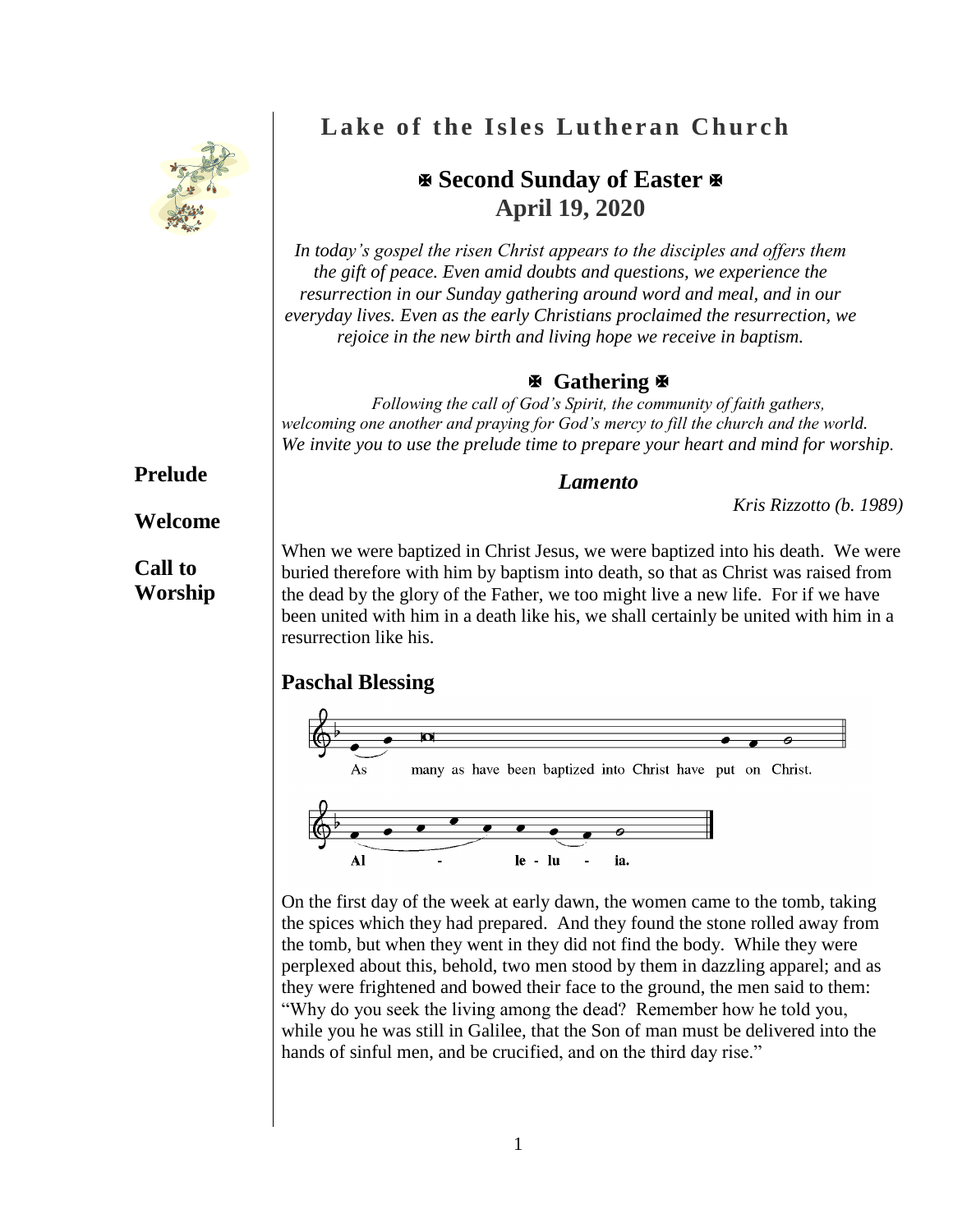

# **Lake of the Isles Lutheran Church**

## **Second Sunday of Easter April 19, 2020**

*In today's gospel the risen Christ appears to the disciples and offers them the gift of peace. Even amid doubts and questions, we experience the resurrection in our Sunday gathering around word and meal, and in our everyday lives. Even as the early Christians proclaimed the resurrection, we rejoice in the new birth and living hope we receive in baptism.*

### **Gathering**

*Following the call of God's Spirit, the community of faith gathers, welcoming one another and praying for God's mercy to fill the church and the world. We invite you to use the prelude time to prepare your heart and mind for worship.*

#### *Lamento*

*Kris Rizzotto (b. 1989)*

**Prelude**

### **Welcome**

## **Call to Worship**

When we were baptized in Christ Jesus, we were baptized into his death. We were buried therefore with him by baptism into death, so that as Christ was raised from the dead by the glory of the Father, we too might live a new life. For if we have been united with him in a death like his, we shall certainly be united with him in a resurrection like his.

## **Paschal Blessing**



On the first day of the week at early dawn, the women came to the tomb, taking the spices which they had prepared. And they found the stone rolled away from the tomb, but when they went in they did not find the body. While they were perplexed about this, behold, two men stood by them in dazzling apparel; and as they were frightened and bowed their face to the ground, the men said to them: "Why do you seek the living among the dead? Remember how he told you, while you he was still in Galilee, that the Son of man must be delivered into the hands of sinful men, and be crucified, and on the third day rise."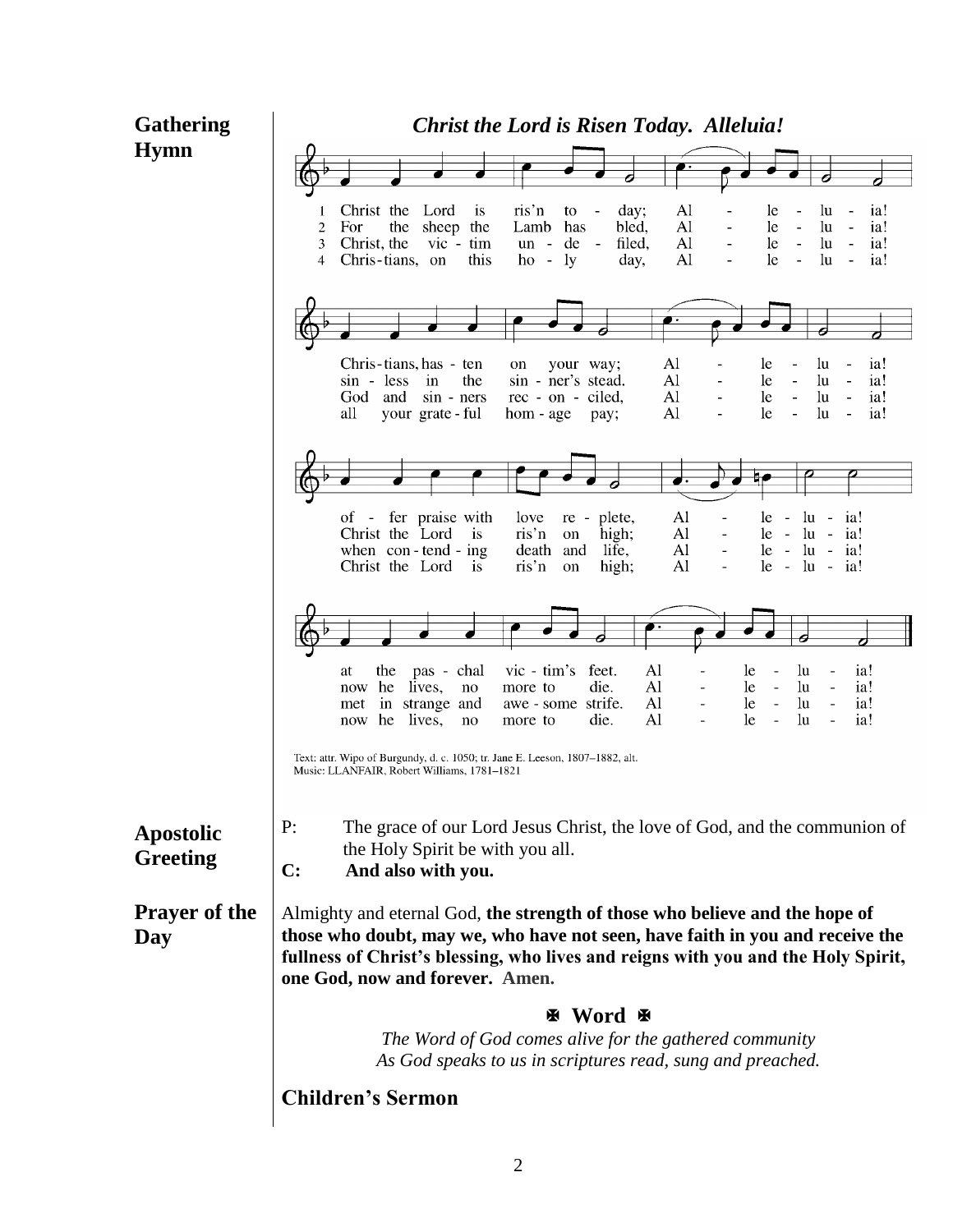| <b>Hymn</b><br>Christ the<br>ris'n<br>Lord<br>Al<br><sup>is</sup><br>day:<br>le.<br>ia!<br>to<br>$\overline{\phantom{a}}$<br>lu<br>sheep the<br>Al<br>ia!<br>$\overline{2}$<br>For<br>the<br>Lamb<br>has<br>bled,<br>le<br>$\ln$<br>Christ, the<br>de<br>filed,<br>Al<br>le<br>ia!<br>3<br>$vic - tim$<br>lu<br>$un -$<br>$\sim$<br>$\sim$<br>ia!<br>this<br>ly<br>Al<br>le<br>lu<br>Chris-tians, on<br>day,<br>4<br>$ho -$<br>$\equiv$<br>$\sim$<br>Chris-tians, has - ten<br>Al<br>le<br>lu<br>ia!<br>your way;<br>on<br>Al<br>lu<br>ia!<br>$sin - less$<br>in<br>the<br>sin - ner's stead.<br>le<br>$\overline{a}$<br>$\blacksquare$<br>Al<br>le<br>God<br>and<br>$sin - ners$<br>rec - on - ciled,<br>lu<br>ia!<br>$\blacksquare$<br>$\overline{\phantom{a}}$<br>ia!<br>Al<br>le<br>all<br>your grate - ful<br>lu<br>hom - age<br>pay;<br>of - fer praise with<br>Al<br>$ u -$<br>love<br>re - plete,<br>le.<br>ia!<br>$\sim$<br>Christ the Lord<br>ris'n<br>Al<br>$\overline{1}$<br>high;<br>$le - lu - ia!$<br>on<br>Al<br>when $con$ -tend - ing<br>life,<br>$le - lu - ia!$<br>death and<br>$\overline{\phantom{a}}$<br>Al<br>Christ the Lord<br>$\sin$ <sup>n</sup><br>high;<br>$le$ - $lu$ - $ia!$<br>$\overline{1}$<br>on<br>$\blacksquare$<br>$vic - tim's$<br>feet.<br>Al<br>ia!<br>pas - chal<br>lu<br>at<br>the<br>le<br>lives,<br>die.<br>Al<br>lu<br>now he<br>le<br>ia!<br>no<br>more to<br>$\overline{\phantom{a}}$<br>$\blacksquare$<br>$\blacksquare$<br>ia!<br>strife.<br>Al<br>lu<br>in strange and<br>le<br>awe - some<br>met<br>$\blacksquare$<br>$\blacksquare$<br>Al<br>ia!<br>die.<br>le<br>lu<br>lives,<br>he<br>now<br>no<br>more to<br>Text: attr. Wipo of Burgundy, d. c. 1050; tr. Jane E. Leeson, 1807–1882, alt.<br>Music: LLANFAIR, Robert Williams, 1781-1821<br>P:<br>The grace of our Lord Jesus Christ, the love of God, and the communion of<br><b>Apostolic</b><br>the Holy Spirit be with you all.<br><b>Greeting</b><br>$\mathbf{C}$ :<br>And also with you.<br><b>Prayer of the</b><br>Almighty and eternal God, the strength of those who believe and the hope of<br>those who doubt, may we, who have not seen, have faith in you and receive the<br>Day<br>fullness of Christ's blessing, who lives and reigns with you and the Holy Spirit,<br>one God, now and forever. Amen.<br>图 Word 图<br>The Word of God comes alive for the gathered community<br>As God speaks to us in scriptures read, sung and preached.<br><b>Children's Sermon</b> | <b>Gathering</b> | <b>Christ the Lord is Risen Today. Alleluia!</b> |  |  |
|-------------------------------------------------------------------------------------------------------------------------------------------------------------------------------------------------------------------------------------------------------------------------------------------------------------------------------------------------------------------------------------------------------------------------------------------------------------------------------------------------------------------------------------------------------------------------------------------------------------------------------------------------------------------------------------------------------------------------------------------------------------------------------------------------------------------------------------------------------------------------------------------------------------------------------------------------------------------------------------------------------------------------------------------------------------------------------------------------------------------------------------------------------------------------------------------------------------------------------------------------------------------------------------------------------------------------------------------------------------------------------------------------------------------------------------------------------------------------------------------------------------------------------------------------------------------------------------------------------------------------------------------------------------------------------------------------------------------------------------------------------------------------------------------------------------------------------------------------------------------------------------------------------------------------------------------------------------------------------------------------------------------------------------------------------------------------------------------------------------------------------------------------------------------------------------------------------------------------------------------------------------------------------------------------------------------------------------------------------------------------------------------------------------------------------------------------------------------------------------------------|------------------|--------------------------------------------------|--|--|
|                                                                                                                                                                                                                                                                                                                                                                                                                                                                                                                                                                                                                                                                                                                                                                                                                                                                                                                                                                                                                                                                                                                                                                                                                                                                                                                                                                                                                                                                                                                                                                                                                                                                                                                                                                                                                                                                                                                                                                                                                                                                                                                                                                                                                                                                                                                                                                                                                                                                                                 |                  |                                                  |  |  |
|                                                                                                                                                                                                                                                                                                                                                                                                                                                                                                                                                                                                                                                                                                                                                                                                                                                                                                                                                                                                                                                                                                                                                                                                                                                                                                                                                                                                                                                                                                                                                                                                                                                                                                                                                                                                                                                                                                                                                                                                                                                                                                                                                                                                                                                                                                                                                                                                                                                                                                 |                  |                                                  |  |  |
|                                                                                                                                                                                                                                                                                                                                                                                                                                                                                                                                                                                                                                                                                                                                                                                                                                                                                                                                                                                                                                                                                                                                                                                                                                                                                                                                                                                                                                                                                                                                                                                                                                                                                                                                                                                                                                                                                                                                                                                                                                                                                                                                                                                                                                                                                                                                                                                                                                                                                                 |                  |                                                  |  |  |
|                                                                                                                                                                                                                                                                                                                                                                                                                                                                                                                                                                                                                                                                                                                                                                                                                                                                                                                                                                                                                                                                                                                                                                                                                                                                                                                                                                                                                                                                                                                                                                                                                                                                                                                                                                                                                                                                                                                                                                                                                                                                                                                                                                                                                                                                                                                                                                                                                                                                                                 |                  |                                                  |  |  |
|                                                                                                                                                                                                                                                                                                                                                                                                                                                                                                                                                                                                                                                                                                                                                                                                                                                                                                                                                                                                                                                                                                                                                                                                                                                                                                                                                                                                                                                                                                                                                                                                                                                                                                                                                                                                                                                                                                                                                                                                                                                                                                                                                                                                                                                                                                                                                                                                                                                                                                 |                  |                                                  |  |  |
|                                                                                                                                                                                                                                                                                                                                                                                                                                                                                                                                                                                                                                                                                                                                                                                                                                                                                                                                                                                                                                                                                                                                                                                                                                                                                                                                                                                                                                                                                                                                                                                                                                                                                                                                                                                                                                                                                                                                                                                                                                                                                                                                                                                                                                                                                                                                                                                                                                                                                                 |                  |                                                  |  |  |
|                                                                                                                                                                                                                                                                                                                                                                                                                                                                                                                                                                                                                                                                                                                                                                                                                                                                                                                                                                                                                                                                                                                                                                                                                                                                                                                                                                                                                                                                                                                                                                                                                                                                                                                                                                                                                                                                                                                                                                                                                                                                                                                                                                                                                                                                                                                                                                                                                                                                                                 |                  |                                                  |  |  |
|                                                                                                                                                                                                                                                                                                                                                                                                                                                                                                                                                                                                                                                                                                                                                                                                                                                                                                                                                                                                                                                                                                                                                                                                                                                                                                                                                                                                                                                                                                                                                                                                                                                                                                                                                                                                                                                                                                                                                                                                                                                                                                                                                                                                                                                                                                                                                                                                                                                                                                 |                  |                                                  |  |  |
|                                                                                                                                                                                                                                                                                                                                                                                                                                                                                                                                                                                                                                                                                                                                                                                                                                                                                                                                                                                                                                                                                                                                                                                                                                                                                                                                                                                                                                                                                                                                                                                                                                                                                                                                                                                                                                                                                                                                                                                                                                                                                                                                                                                                                                                                                                                                                                                                                                                                                                 |                  |                                                  |  |  |
|                                                                                                                                                                                                                                                                                                                                                                                                                                                                                                                                                                                                                                                                                                                                                                                                                                                                                                                                                                                                                                                                                                                                                                                                                                                                                                                                                                                                                                                                                                                                                                                                                                                                                                                                                                                                                                                                                                                                                                                                                                                                                                                                                                                                                                                                                                                                                                                                                                                                                                 |                  |                                                  |  |  |
|                                                                                                                                                                                                                                                                                                                                                                                                                                                                                                                                                                                                                                                                                                                                                                                                                                                                                                                                                                                                                                                                                                                                                                                                                                                                                                                                                                                                                                                                                                                                                                                                                                                                                                                                                                                                                                                                                                                                                                                                                                                                                                                                                                                                                                                                                                                                                                                                                                                                                                 |                  |                                                  |  |  |
|                                                                                                                                                                                                                                                                                                                                                                                                                                                                                                                                                                                                                                                                                                                                                                                                                                                                                                                                                                                                                                                                                                                                                                                                                                                                                                                                                                                                                                                                                                                                                                                                                                                                                                                                                                                                                                                                                                                                                                                                                                                                                                                                                                                                                                                                                                                                                                                                                                                                                                 |                  |                                                  |  |  |
|                                                                                                                                                                                                                                                                                                                                                                                                                                                                                                                                                                                                                                                                                                                                                                                                                                                                                                                                                                                                                                                                                                                                                                                                                                                                                                                                                                                                                                                                                                                                                                                                                                                                                                                                                                                                                                                                                                                                                                                                                                                                                                                                                                                                                                                                                                                                                                                                                                                                                                 |                  |                                                  |  |  |
|                                                                                                                                                                                                                                                                                                                                                                                                                                                                                                                                                                                                                                                                                                                                                                                                                                                                                                                                                                                                                                                                                                                                                                                                                                                                                                                                                                                                                                                                                                                                                                                                                                                                                                                                                                                                                                                                                                                                                                                                                                                                                                                                                                                                                                                                                                                                                                                                                                                                                                 |                  |                                                  |  |  |
|                                                                                                                                                                                                                                                                                                                                                                                                                                                                                                                                                                                                                                                                                                                                                                                                                                                                                                                                                                                                                                                                                                                                                                                                                                                                                                                                                                                                                                                                                                                                                                                                                                                                                                                                                                                                                                                                                                                                                                                                                                                                                                                                                                                                                                                                                                                                                                                                                                                                                                 |                  |                                                  |  |  |
|                                                                                                                                                                                                                                                                                                                                                                                                                                                                                                                                                                                                                                                                                                                                                                                                                                                                                                                                                                                                                                                                                                                                                                                                                                                                                                                                                                                                                                                                                                                                                                                                                                                                                                                                                                                                                                                                                                                                                                                                                                                                                                                                                                                                                                                                                                                                                                                                                                                                                                 |                  |                                                  |  |  |
|                                                                                                                                                                                                                                                                                                                                                                                                                                                                                                                                                                                                                                                                                                                                                                                                                                                                                                                                                                                                                                                                                                                                                                                                                                                                                                                                                                                                                                                                                                                                                                                                                                                                                                                                                                                                                                                                                                                                                                                                                                                                                                                                                                                                                                                                                                                                                                                                                                                                                                 |                  |                                                  |  |  |
|                                                                                                                                                                                                                                                                                                                                                                                                                                                                                                                                                                                                                                                                                                                                                                                                                                                                                                                                                                                                                                                                                                                                                                                                                                                                                                                                                                                                                                                                                                                                                                                                                                                                                                                                                                                                                                                                                                                                                                                                                                                                                                                                                                                                                                                                                                                                                                                                                                                                                                 |                  |                                                  |  |  |
|                                                                                                                                                                                                                                                                                                                                                                                                                                                                                                                                                                                                                                                                                                                                                                                                                                                                                                                                                                                                                                                                                                                                                                                                                                                                                                                                                                                                                                                                                                                                                                                                                                                                                                                                                                                                                                                                                                                                                                                                                                                                                                                                                                                                                                                                                                                                                                                                                                                                                                 |                  |                                                  |  |  |
|                                                                                                                                                                                                                                                                                                                                                                                                                                                                                                                                                                                                                                                                                                                                                                                                                                                                                                                                                                                                                                                                                                                                                                                                                                                                                                                                                                                                                                                                                                                                                                                                                                                                                                                                                                                                                                                                                                                                                                                                                                                                                                                                                                                                                                                                                                                                                                                                                                                                                                 |                  |                                                  |  |  |
|                                                                                                                                                                                                                                                                                                                                                                                                                                                                                                                                                                                                                                                                                                                                                                                                                                                                                                                                                                                                                                                                                                                                                                                                                                                                                                                                                                                                                                                                                                                                                                                                                                                                                                                                                                                                                                                                                                                                                                                                                                                                                                                                                                                                                                                                                                                                                                                                                                                                                                 |                  |                                                  |  |  |
|                                                                                                                                                                                                                                                                                                                                                                                                                                                                                                                                                                                                                                                                                                                                                                                                                                                                                                                                                                                                                                                                                                                                                                                                                                                                                                                                                                                                                                                                                                                                                                                                                                                                                                                                                                                                                                                                                                                                                                                                                                                                                                                                                                                                                                                                                                                                                                                                                                                                                                 |                  |                                                  |  |  |
|                                                                                                                                                                                                                                                                                                                                                                                                                                                                                                                                                                                                                                                                                                                                                                                                                                                                                                                                                                                                                                                                                                                                                                                                                                                                                                                                                                                                                                                                                                                                                                                                                                                                                                                                                                                                                                                                                                                                                                                                                                                                                                                                                                                                                                                                                                                                                                                                                                                                                                 |                  |                                                  |  |  |
|                                                                                                                                                                                                                                                                                                                                                                                                                                                                                                                                                                                                                                                                                                                                                                                                                                                                                                                                                                                                                                                                                                                                                                                                                                                                                                                                                                                                                                                                                                                                                                                                                                                                                                                                                                                                                                                                                                                                                                                                                                                                                                                                                                                                                                                                                                                                                                                                                                                                                                 |                  |                                                  |  |  |
|                                                                                                                                                                                                                                                                                                                                                                                                                                                                                                                                                                                                                                                                                                                                                                                                                                                                                                                                                                                                                                                                                                                                                                                                                                                                                                                                                                                                                                                                                                                                                                                                                                                                                                                                                                                                                                                                                                                                                                                                                                                                                                                                                                                                                                                                                                                                                                                                                                                                                                 |                  |                                                  |  |  |
|                                                                                                                                                                                                                                                                                                                                                                                                                                                                                                                                                                                                                                                                                                                                                                                                                                                                                                                                                                                                                                                                                                                                                                                                                                                                                                                                                                                                                                                                                                                                                                                                                                                                                                                                                                                                                                                                                                                                                                                                                                                                                                                                                                                                                                                                                                                                                                                                                                                                                                 |                  |                                                  |  |  |
|                                                                                                                                                                                                                                                                                                                                                                                                                                                                                                                                                                                                                                                                                                                                                                                                                                                                                                                                                                                                                                                                                                                                                                                                                                                                                                                                                                                                                                                                                                                                                                                                                                                                                                                                                                                                                                                                                                                                                                                                                                                                                                                                                                                                                                                                                                                                                                                                                                                                                                 |                  |                                                  |  |  |
|                                                                                                                                                                                                                                                                                                                                                                                                                                                                                                                                                                                                                                                                                                                                                                                                                                                                                                                                                                                                                                                                                                                                                                                                                                                                                                                                                                                                                                                                                                                                                                                                                                                                                                                                                                                                                                                                                                                                                                                                                                                                                                                                                                                                                                                                                                                                                                                                                                                                                                 |                  |                                                  |  |  |
|                                                                                                                                                                                                                                                                                                                                                                                                                                                                                                                                                                                                                                                                                                                                                                                                                                                                                                                                                                                                                                                                                                                                                                                                                                                                                                                                                                                                                                                                                                                                                                                                                                                                                                                                                                                                                                                                                                                                                                                                                                                                                                                                                                                                                                                                                                                                                                                                                                                                                                 |                  |                                                  |  |  |
|                                                                                                                                                                                                                                                                                                                                                                                                                                                                                                                                                                                                                                                                                                                                                                                                                                                                                                                                                                                                                                                                                                                                                                                                                                                                                                                                                                                                                                                                                                                                                                                                                                                                                                                                                                                                                                                                                                                                                                                                                                                                                                                                                                                                                                                                                                                                                                                                                                                                                                 |                  |                                                  |  |  |
|                                                                                                                                                                                                                                                                                                                                                                                                                                                                                                                                                                                                                                                                                                                                                                                                                                                                                                                                                                                                                                                                                                                                                                                                                                                                                                                                                                                                                                                                                                                                                                                                                                                                                                                                                                                                                                                                                                                                                                                                                                                                                                                                                                                                                                                                                                                                                                                                                                                                                                 |                  |                                                  |  |  |
|                                                                                                                                                                                                                                                                                                                                                                                                                                                                                                                                                                                                                                                                                                                                                                                                                                                                                                                                                                                                                                                                                                                                                                                                                                                                                                                                                                                                                                                                                                                                                                                                                                                                                                                                                                                                                                                                                                                                                                                                                                                                                                                                                                                                                                                                                                                                                                                                                                                                                                 |                  |                                                  |  |  |
|                                                                                                                                                                                                                                                                                                                                                                                                                                                                                                                                                                                                                                                                                                                                                                                                                                                                                                                                                                                                                                                                                                                                                                                                                                                                                                                                                                                                                                                                                                                                                                                                                                                                                                                                                                                                                                                                                                                                                                                                                                                                                                                                                                                                                                                                                                                                                                                                                                                                                                 |                  |                                                  |  |  |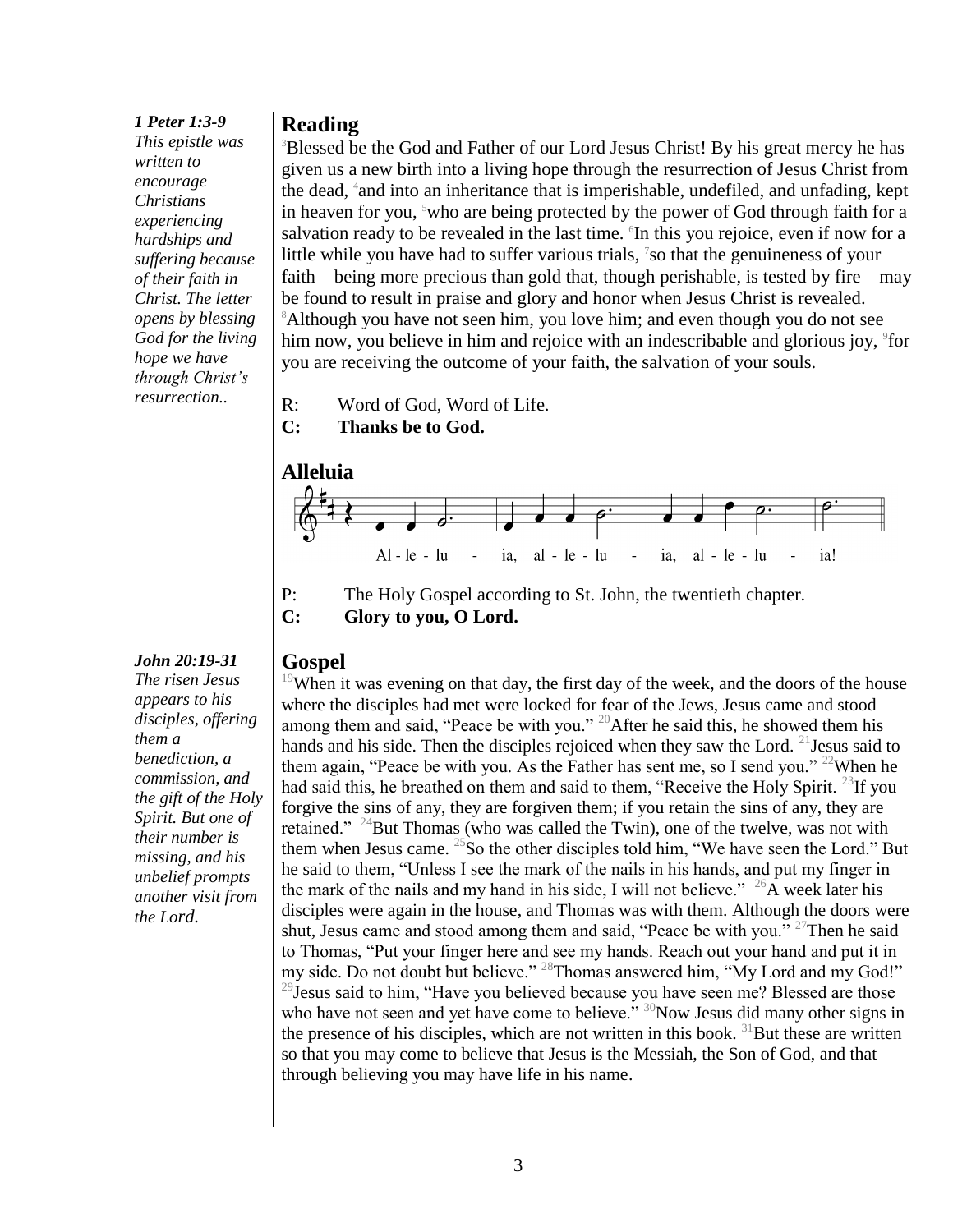#### *1 Peter 1:3-9*

*This epistle was written to encourage Christians experiencing hardships and suffering because of their faith in Christ. The letter opens by blessing God for the living hope we have through Christ's resurrection..*

#### *appears to his disciples, offering them a*

*John 20:19-31 The risen Jesus* 

*benediction, a commission, and the gift of the Holy Spirit. But one of their number is missing, and his unbelief prompts another visit from the Lord.*

#### **Reading**

<sup>3</sup>Blessed be the God and Father of our Lord Jesus Christ! By his great mercy he has given us a new birth into a living hope through the resurrection of Jesus Christ from the dead, <sup>4</sup> and into an inheritance that is imperishable, undefiled, and unfading, kept in heaven for you,  $5$  who are being protected by the power of God through faith for a salvation ready to be revealed in the last time. <sup>6</sup>In this you rejoice, even if now for a little while you have had to suffer various trials,  $\frac{7}{5}$  so that the genuineness of your faith—being more precious than gold that, though perishable, is tested by fire—may be found to result in praise and glory and honor when Jesus Christ is revealed. <sup>8</sup>Although you have not seen him, you love him; and even though you do not see him now, you believe in him and rejoice with an indescribable and glorious joy, <sup>9</sup>for you are receiving the outcome of your faith, the salvation of your souls.

R: Word of God, Word of Life.





**C: Glory to you, O Lord.**

#### **Gospel**

<sup>19</sup>When it was evening on that day, the first day of the week, and the doors of the house where the disciples had met were locked for fear of the Jews, Jesus came and stood among them and said, "Peace be with you." <sup>20</sup>After he said this, he showed them his hands and his side. Then the disciples rejoiced when they saw the Lord. <sup>21</sup> Jesus said to them again, "Peace be with you. As the Father has sent me, so I send you." <sup>22</sup>When he had said this, he breathed on them and said to them, "Receive the Holy Spirit.<sup>23</sup>If you forgive the sins of any, they are forgiven them; if you retain the sins of any, they are retained." <sup>24</sup>But Thomas (who was called the Twin), one of the twelve, was not with them when Jesus came.  $^{25}$ So the other disciples told him, "We have seen the Lord." But he said to them, "Unless I see the mark of the nails in his hands, and put my finger in the mark of the nails and my hand in his side, I will not believe."  $^{26}A$  week later his disciples were again in the house, and Thomas was with them. Although the doors were shut, Jesus came and stood among them and said, "Peace be with you." <sup>27</sup>Then he said to Thomas, "Put your finger here and see my hands. Reach out your hand and put it in my side. Do not doubt but believe." <sup>28</sup>Thomas answered him, "My Lord and my God!"  $^{29}$ Jesus said to him, "Have you believed because you have seen me? Blessed are those who have not seen and yet have come to believe." <sup>30</sup>Now Jesus did many other signs in the presence of his disciples, which are not written in this book.  $31$ But these are written so that you may come to believe that Jesus is the Messiah, the Son of God, and that through believing you may have life in his name.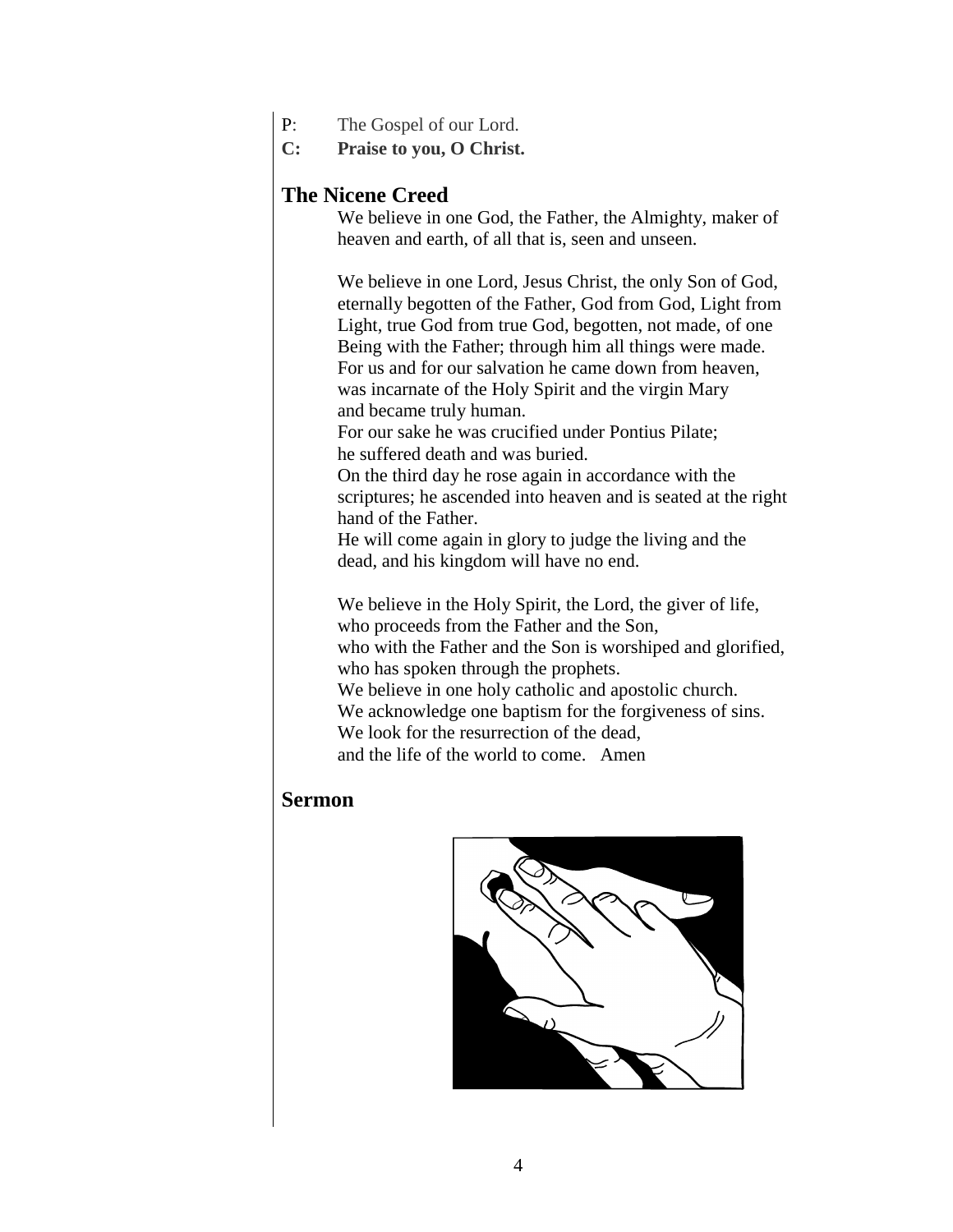- P: The Gospel of our Lord.
- **C: Praise to you, O Christ.**

### **The Nicene Creed**

We believe in one God, the Father, the Almighty, maker of heaven and earth, of all that is, seen and unseen.

We believe in one Lord, Jesus Christ, the only Son of God, eternally begotten of the Father, God from God, Light from Light, true God from true God, begotten, not made, of one Being with the Father; through him all things were made. For us and for our salvation he came down from heaven, was incarnate of the Holy Spirit and the virgin Mary and became truly human.

For our sake he was crucified under Pontius Pilate; he suffered death and was buried.

On the third day he rose again in accordance with the scriptures; he ascended into heaven and is seated at the right hand of the Father.

He will come again in glory to judge the living and the dead, and his kingdom will have no end.

We believe in the Holy Spirit, the Lord, the giver of life, who proceeds from the Father and the Son, who with the Father and the Son is worshiped and glorified, who has spoken through the prophets. We believe in one holy catholic and apostolic church. We acknowledge one baptism for the forgiveness of sins.

We look for the resurrection of the dead,

and the life of the world to come. Amen

#### **Sermon**

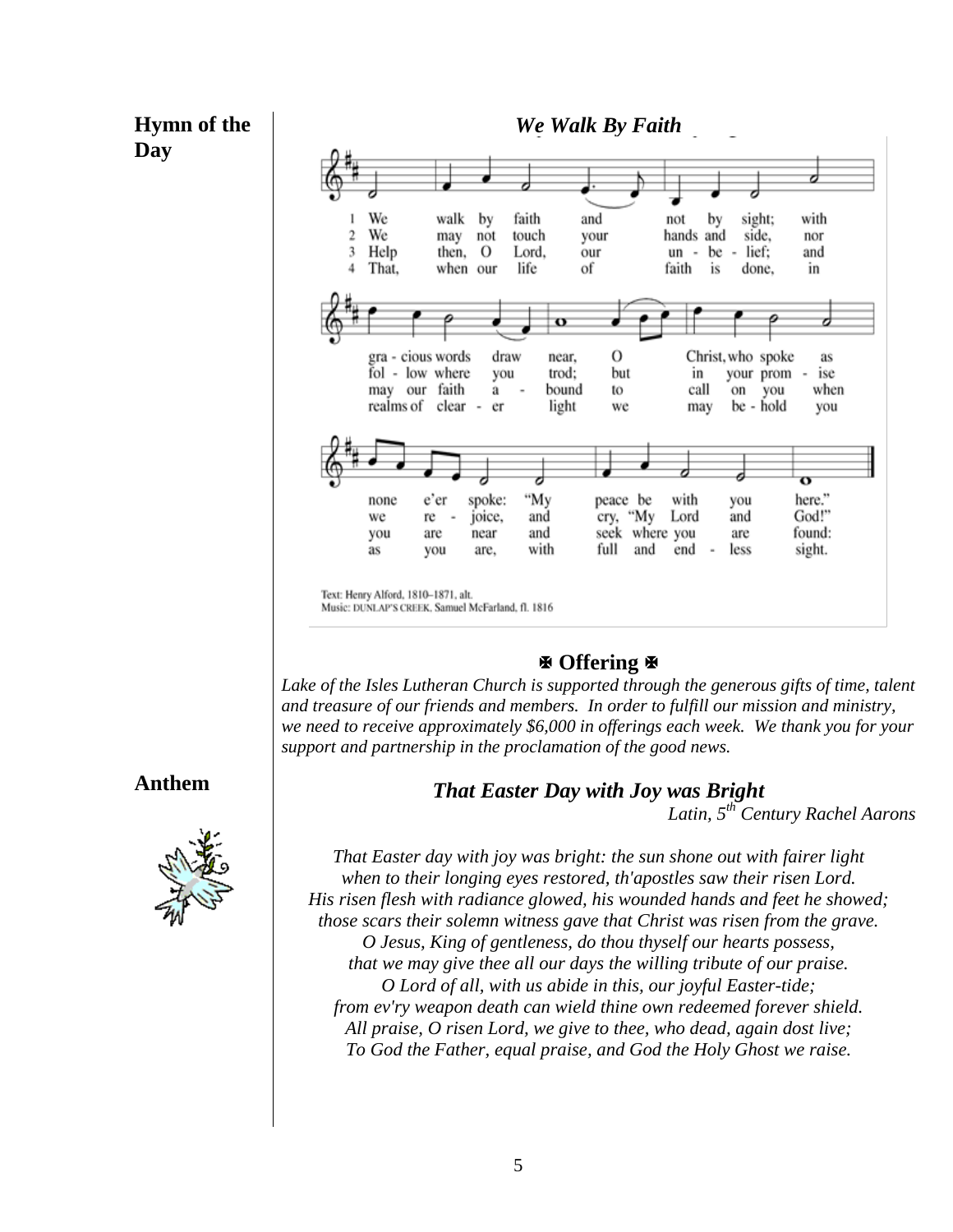## **Hymn of the Day**



Text: Henry Alford, 1810-1871, alt. Music: DUNLAP'S CREEK, Samuel McFarland, fl. 1816

#### **Offering**

*Lake of the Isles Lutheran Church is supported through the generous gifts of time, talent and treasure of our friends and members. In order to fulfill our mission and ministry, we need to receive approximately \$6,000 in offerings each week. We thank you for your support and partnership in the proclamation of the good news.*

*That Easter Day with Joy was Bright*

*Latin, 5th Century Rachel Aarons*

#### **Anthem**



*That Easter day with joy was bright: the sun shone out with fairer light when to their longing eyes restored, th'apostles saw their risen Lord. His risen flesh with radiance glowed, his wounded hands and feet he showed; those scars their solemn witness gave that Christ was risen from the grave. O Jesus, King of gentleness, do thou thyself our hearts possess, that we may give thee all our days the willing tribute of our praise. O Lord of all, with us abide in this, our joyful Easter-tide; from ev'ry weapon death can wield thine own redeemed forever shield. All praise, O risen Lord, we give to thee, who dead, again dost live; To God the Father, equal praise, and God the Holy Ghost we raise.*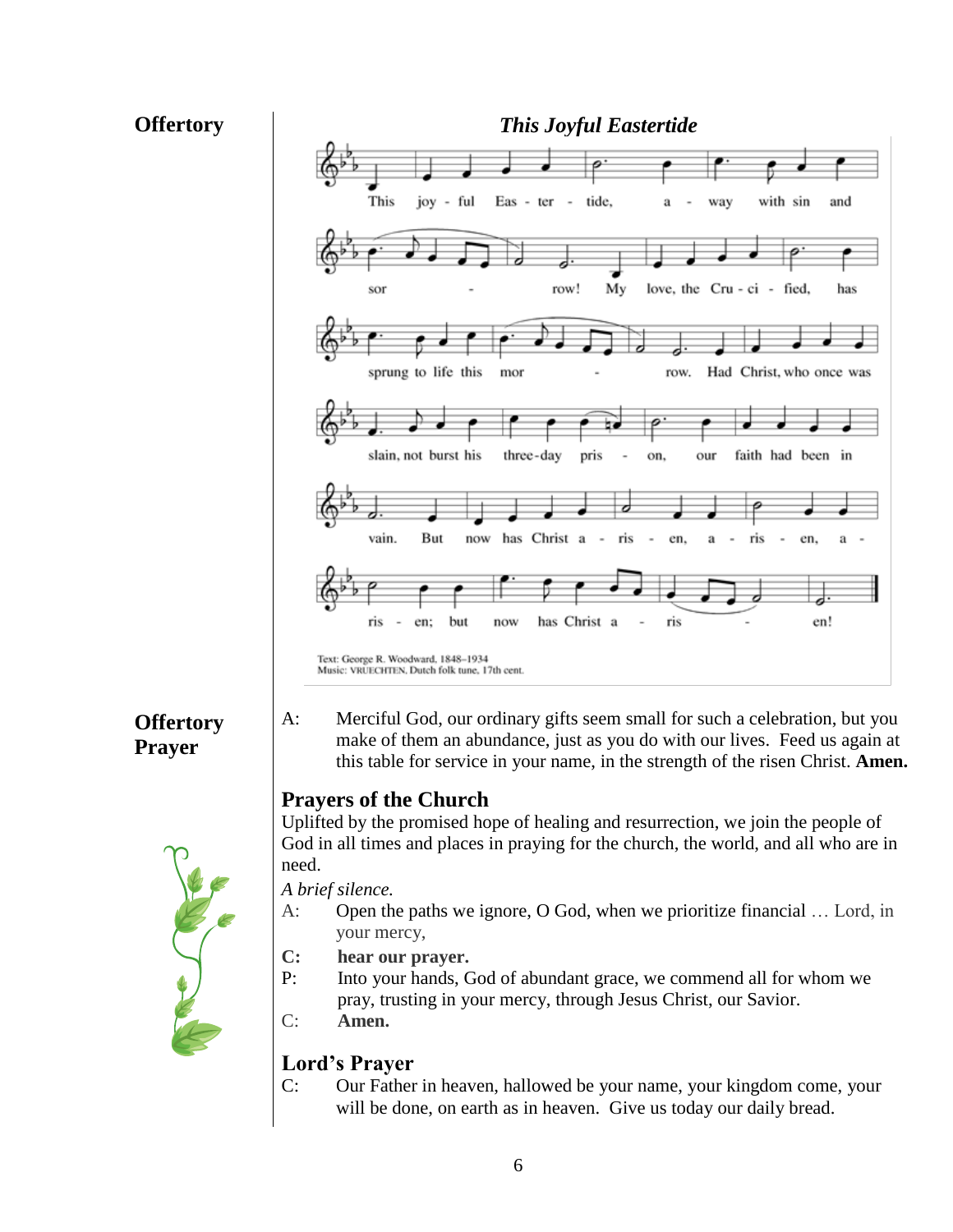

C: Our Father in heaven, hallowed be your name, your kingdom come, your will be done, on earth as in heaven. Give us today our daily bread.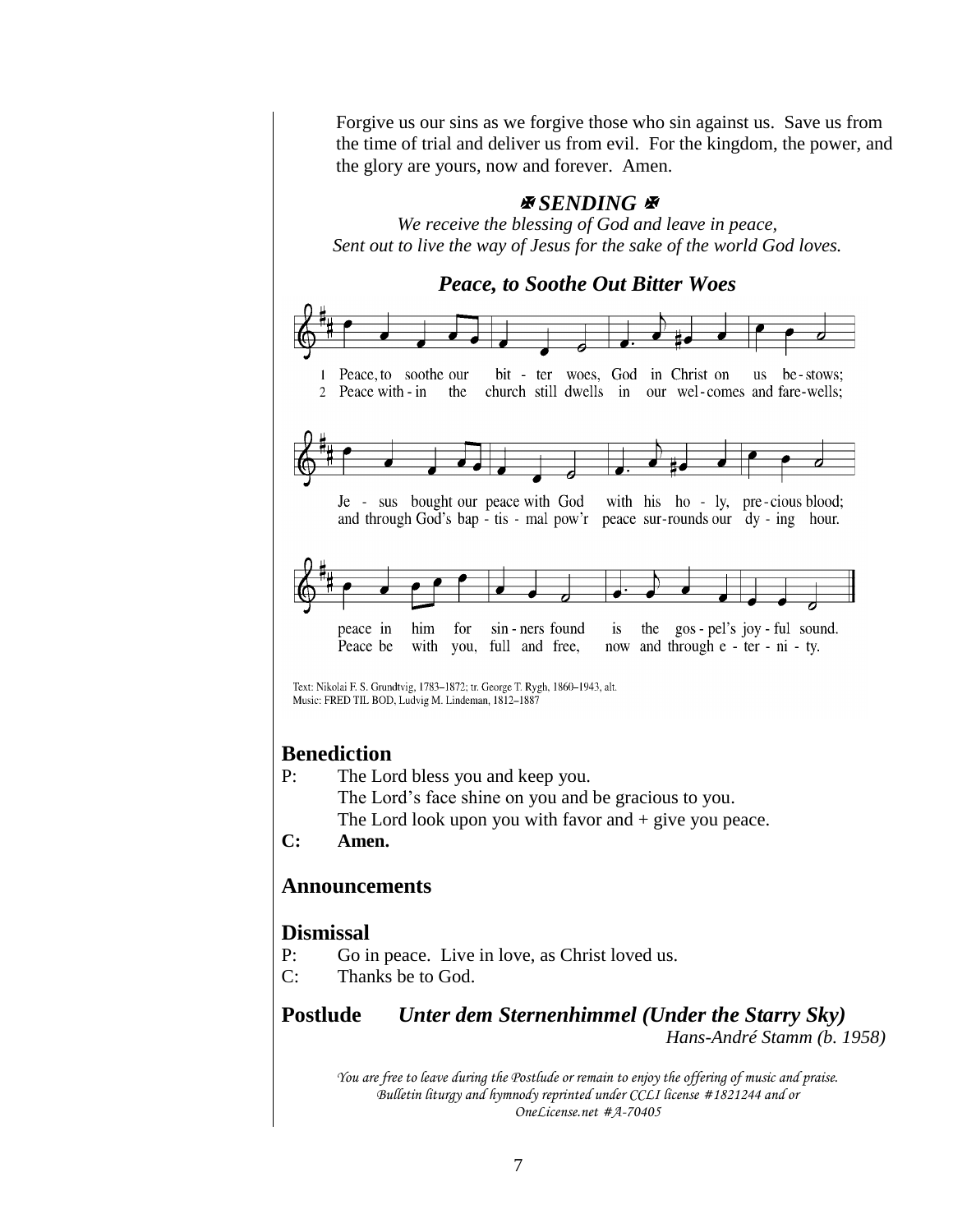Forgive us our sins as we forgive those who sin against us. Save us from the time of trial and deliver us from evil. For the kingdom, the power, and the glory are yours, now and forever. Amen.

#### *ASENDING*

*We receive the blessing of God and leave in peace, Sent out to live the way of Jesus for the sake of the world God loves.*



#### **Benediction**

- P: The Lord bless you and keep you.
	- The Lord's face shine on you and be gracious to you.
	- The Lord look upon you with favor and  $+$  give you peace.
- **C: Amen.**

#### **Announcements**

#### **Dismissal**

- P: Go in peace. Live in love, as Christ loved us.
- C: Thanks be to God.

# **Postlude** *Unter dem Sternenhimmel (Under the Starry Sky)*

*Hans-André Stamm (b. 1958)*

*You are free to leave during the Postlude or remain to enjoy the offering of music and praise. Bulletin liturgy and hymnody reprinted under CCLI license #1821244 and or OneLicense.net #A-70405*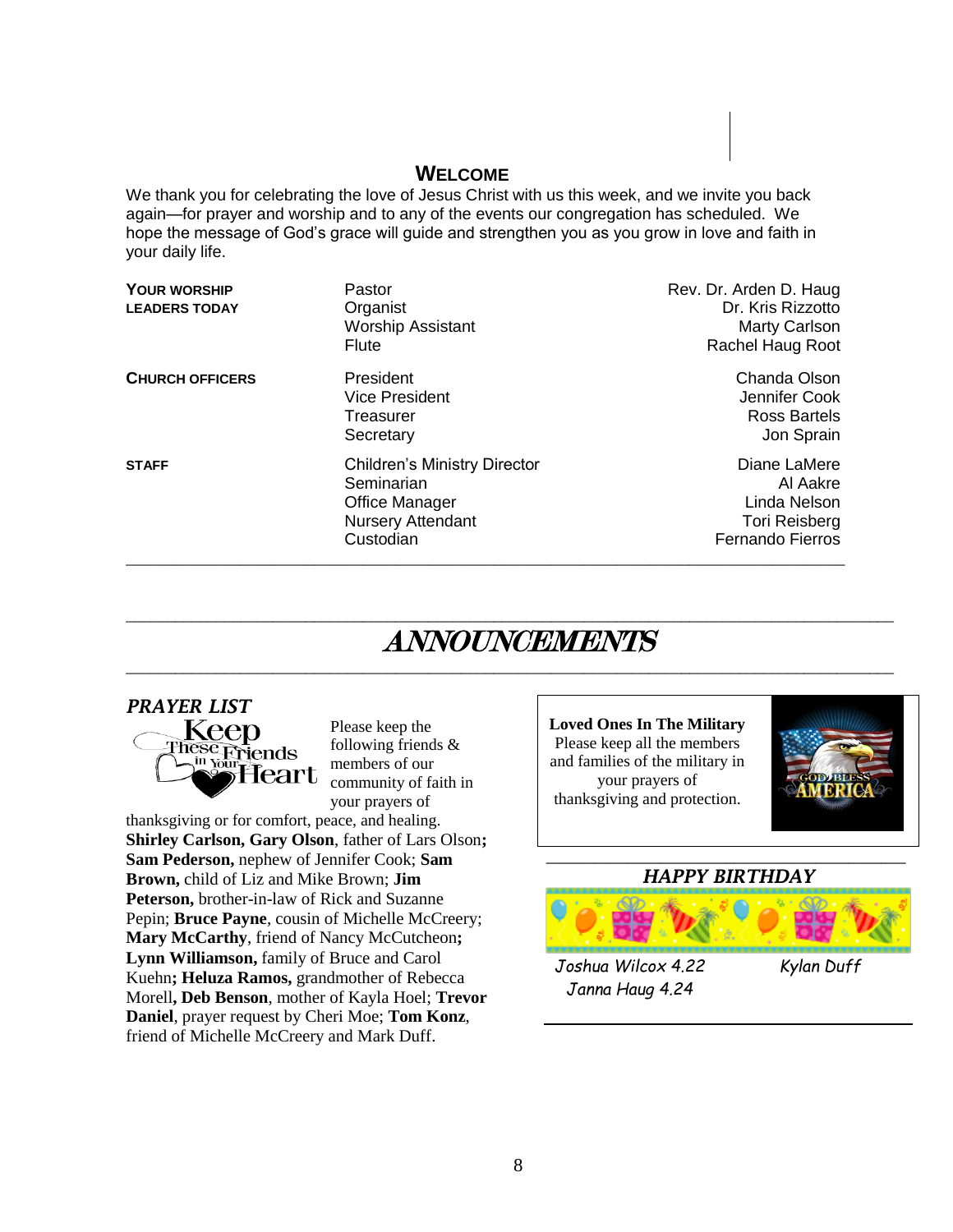#### **WELCOME**

We thank you for celebrating the love of Jesus Christ with us this week, and we invite you back again—for prayer and worship and to any of the events our congregation has scheduled. We hope the message of God's grace will guide and strengthen you as you grow in love and faith in your daily life.

| <b>YOUR WORSHIP</b><br><b>LEADERS TODAY</b> | Pastor<br>Organist<br><b>Worship Assistant</b><br><b>Flute</b>                                                      | Rev. Dr. Arden D. Haug<br>Dr. Kris Rizzotto<br>Marty Carlson<br>Rachel Haug Root     |
|---------------------------------------------|---------------------------------------------------------------------------------------------------------------------|--------------------------------------------------------------------------------------|
| <b>CHURCH OFFICERS</b>                      | President<br><b>Vice President</b><br>Treasurer<br>Secretary                                                        | Chanda Olson<br>Jennifer Cook<br>Ross Bartels<br>Jon Sprain                          |
| <b>STAFF</b>                                | <b>Children's Ministry Director</b><br>Seminarian<br><b>Office Manager</b><br><b>Nursery Attendant</b><br>Custodian | Diane LaMere<br>Al Aakre<br>Linda Nelson<br><b>Tori Reisberg</b><br>Fernando Fierros |

# ANNOUNCEMENTS

 $\overline{\phantom{a}}$  , and the contribution of the contribution of the contribution of the contribution of the contribution of the contribution of the contribution of the contribution of the contribution of the contribution of the

 $\overline{\phantom{a}}$  , and the contribution of the contribution of the contribution of the contribution of the contribution of the contribution of the contribution of the contribution of the contribution of the contribution of the

### *PRAYER LIST*



Please keep the following friends & members of our community of faith in your prayers of

thanksgiving or for comfort, peace, and healing. **Shirley Carlson, Gary Olson**, father of Lars Olson**; Sam Pederson,** nephew of Jennifer Cook; **Sam Brown,** child of Liz and Mike Brown; **Jim Peterson,** brother-in-law of Rick and Suzanne Pepin; **Bruce Payne**, cousin of Michelle McCreery; **Mary McCarthy**, friend of Nancy McCutcheon**; Lynn Williamson,** family of Bruce and Carol Kuehn**; Heluza Ramos,** grandmother of Rebecca Morell**, Deb Benson**, mother of Kayla Hoel; **Trevor Daniel**, prayer request by Cheri Moe; **Tom Konz**, friend of Michelle McCreery and Mark Duff.

**Loved Ones In The Military** Please keep all the members and families of the military in your prayers of thanksgiving and protection.

*Janna Haug 4.24*



#### **\_\_\_\_\_\_\_\_\_\_\_\_\_\_\_\_\_\_\_\_\_\_\_\_\_\_\_\_\_\_\_\_\_\_\_\_\_\_\_\_\_\_\_\_** *HAPPY BIRTHDAY*



8